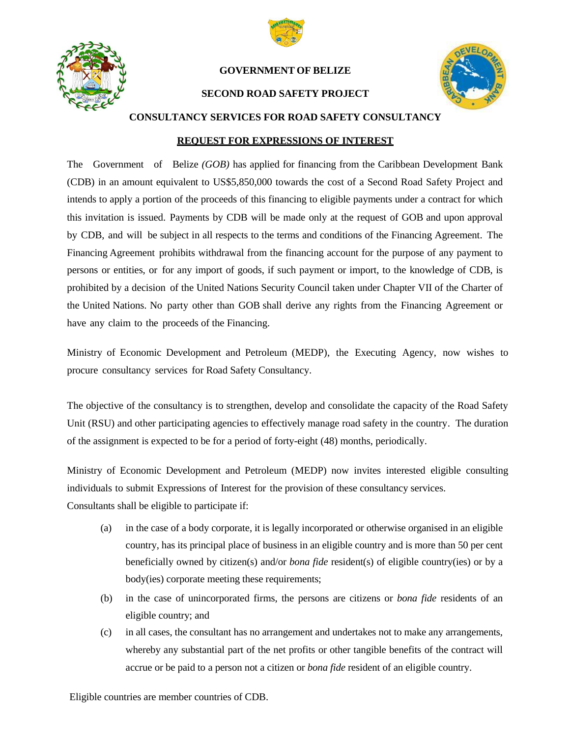



#### **GOVERNMENT OF BELIZE**

#### **SECOND ROAD SAFETY PROJECT**



**CONSULTANCY SERVICES FOR ROAD SAFETY CONSULTANCY**

#### **REQUEST FOR EXPRESSIONS OF INTEREST**

The Government of Belize *(GOB)* has applied for financing from the Caribbean Development Bank (CDB) in an amount equivalent to US\$5,850,000 towards the cost of a Second Road Safety Project and intends to apply a portion of the proceeds of this financing to eligible payments under a contract for which this invitation is issued. Payments by CDB will be made only at the request of GOB and upon approval by CDB, and will be subject in all respects to the terms and conditions of the Financing Agreement. The Financing Agreement prohibits withdrawal from the financing account for the purpose of any payment to persons or entities, or for any import of goods, if such payment or import, to the knowledge of CDB, is prohibited by a decision of the United Nations Security Council taken under Chapter VII of the Charter of the United Nations. No party other than GOB shall derive any rights from the Financing Agreement or have any claim to the proceeds of the Financing.

Ministry of Economic Development and Petroleum (MEDP), the Executing Agency, now wishes to procure consultancy services for Road Safety Consultancy.

The objective of the consultancy is to strengthen, develop and consolidate the capacity of the Road Safety Unit (RSU) and other participating agencies to effectively manage road safety in the country. The duration of the assignment is expected to be for a period of forty-eight (48) months, periodically.

Ministry of Economic Development and Petroleum (MEDP) now invites interested eligible consulting individuals to submit Expressions of Interest for the provision of these consultancy services. Consultants shall be eligible to participate if:

- (a) in the case of a body corporate, it is legally incorporated or otherwise organised in an eligible country, has its principal place of business in an eligible country and is more than 50 per cent beneficially owned by citizen(s) and/or *bona fide* resident(s) of eligible country(ies) or by a body(ies) corporate meeting these requirements;
- (b) in the case of unincorporated firms, the persons are citizens or *bona fide* residents of an eligible country; and
- (c) in all cases, the consultant has no arrangement and undertakes not to make any arrangements, whereby any substantial part of the net profits or other tangible benefits of the contract will accrue or be paid to a person not a citizen or *bona fide* resident of an eligible country.

Eligible countries are member countries of CDB.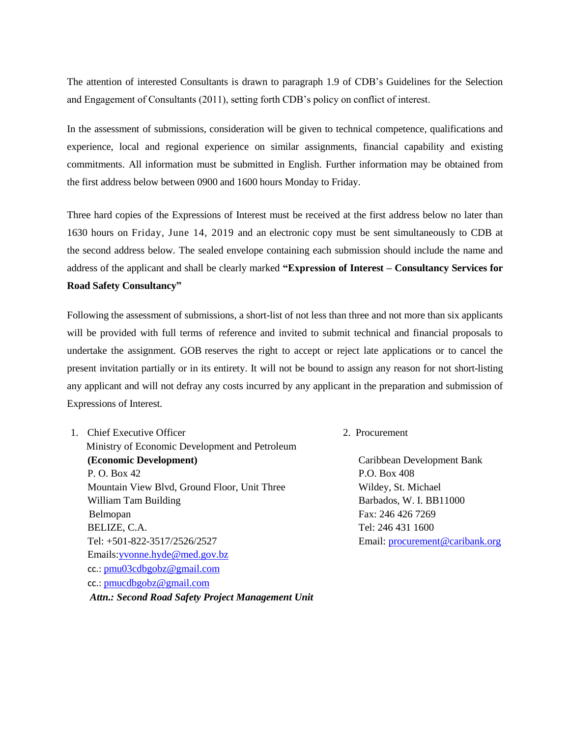The attention of interested Consultants is drawn to paragraph 1.9 of CDB's Guidelines for the Selection and Engagement of Consultants (2011), setting forth CDB's policy on conflict of interest.

In the assessment of submissions, consideration will be given to technical competence, qualifications and experience, local and regional experience on similar assignments, financial capability and existing commitments. All information must be submitted in English. Further information may be obtained from the first address below between 0900 and 1600 hours Monday to Friday.

Three hard copies of the Expressions of Interest must be received at the first address below no later than 1630 hours on Friday, June 14, 2019 and an electronic copy must be sent simultaneously to CDB at the second address below. The sealed envelope containing each submission should include the name and address of the applicant and shall be clearly marked **"Expression of Interest – Consultancy Services for Road Safety Consultancy"**

Following the assessment of submissions, a short-list of not less than three and not more than six applicants will be provided with full terms of reference and invited to submit technical and financial proposals to undertake the assignment. GOB reserves the right to accept or reject late applications or to cancel the present invitation partially or in its entirety. It will not be bound to assign any reason for not short-listing any applicant and will not defray any costs incurred by any applicant in the preparation and submission of Expressions of Interest.

1. Chief Executive Officer 2. Procurement

Ministry of Economic Development and Petroleum **(Economic Development)** Caribbean Development Bank P. O. Box 42 P.O. Box 408 Mountain View Blvd, Ground Floor, Unit Three Wildey, St. Michael William Tam Building **Barbados**, W. I. BB11000 Belmopan Fax: 246 426 7269 BELIZE, C.A. Tel: 246 431 1600 Tel: +501-822-3517/2526/2527 Email: [procurement@caribank.org](file:///C:/Users/blairn/Documents/Belize_EID/Road%20Safety%20Project%202/Procurement%20Notices/Specific%20Notices/May%2013%202019/procurement@caribank.org) Emails[:yvonne.hyde@med.gov.bz](mailto:ceo@med.gov.bz) cc.: [pmu03cdbgobz@gmail.com](mailto:pmu03cdbgobz@gmail.com) cc.: [pmucdbgobz@gmail.com](mailto:pmucdbgobz@gmail.com) *Attn.: Second Road Safety Project Management Unit*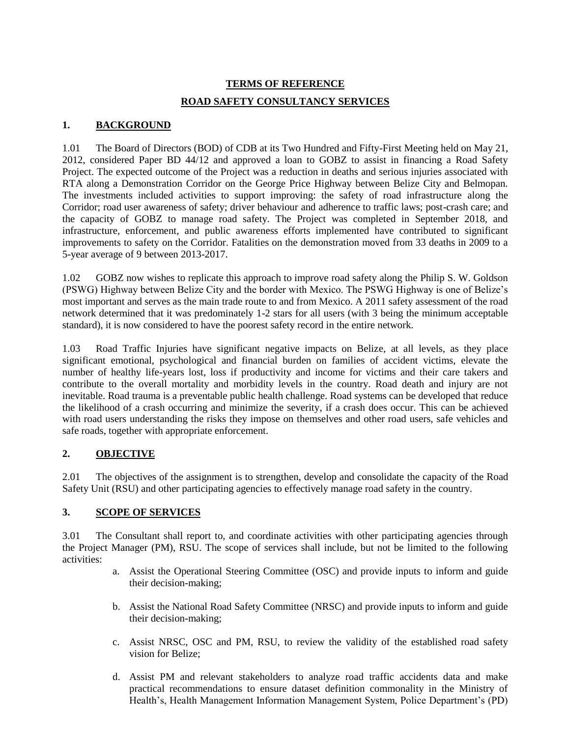# **TERMS OF REFERENCE ROAD SAFETY CONSULTANCY SERVICES**

## **1. BACKGROUND**

1.01 The Board of Directors (BOD) of CDB at its Two Hundred and Fifty-First Meeting held on May 21, 2012, considered Paper BD 44/12 and approved a loan to GOBZ to assist in financing a Road Safety Project. The expected outcome of the Project was a reduction in deaths and serious injuries associated with RTA along a Demonstration Corridor on the George Price Highway between Belize City and Belmopan. The investments included activities to support improving: the safety of road infrastructure along the Corridor; road user awareness of safety; driver behaviour and adherence to traffic laws; post-crash care; and the capacity of GOBZ to manage road safety. The Project was completed in September 2018, and infrastructure, enforcement, and public awareness efforts implemented have contributed to significant improvements to safety on the Corridor. Fatalities on the demonstration moved from 33 deaths in 2009 to a 5-year average of 9 between 2013-2017.

1.02 GOBZ now wishes to replicate this approach to improve road safety along the Philip S. W. Goldson (PSWG) Highway between Belize City and the border with Mexico. The PSWG Highway is one of Belize's most important and serves as the main trade route to and from Mexico. A 2011 safety assessment of the road network determined that it was predominately 1-2 stars for all users (with 3 being the minimum acceptable standard), it is now considered to have the poorest safety record in the entire network.

1.03 Road Traffic Injuries have significant negative impacts on Belize, at all levels, as they place significant emotional, psychological and financial burden on families of accident victims, elevate the number of healthy life-years lost, loss if productivity and income for victims and their care takers and contribute to the overall mortality and morbidity levels in the country. Road death and injury are not inevitable. Road trauma is a preventable public health challenge. Road systems can be developed that reduce the likelihood of a crash occurring and minimize the severity, if a crash does occur. This can be achieved with road users understanding the risks they impose on themselves and other road users, safe vehicles and safe roads, together with appropriate enforcement.

### **2. OBJECTIVE**

2.01 The objectives of the assignment is to strengthen, develop and consolidate the capacity of the Road Safety Unit (RSU) and other participating agencies to effectively manage road safety in the country.

### **3. SCOPE OF SERVICES**

3.01 The Consultant shall report to, and coordinate activities with other participating agencies through the Project Manager (PM), RSU. The scope of services shall include, but not be limited to the following activities:

- a. Assist the Operational Steering Committee (OSC) and provide inputs to inform and guide their decision-making;
- b. Assist the National Road Safety Committee (NRSC) and provide inputs to inform and guide their decision-making;
- c. Assist NRSC, OSC and PM, RSU, to review the validity of the established road safety vision for Belize;
- d. Assist PM and relevant stakeholders to analyze road traffic accidents data and make practical recommendations to ensure dataset definition commonality in the Ministry of Health's, Health Management Information Management System, Police Department's (PD)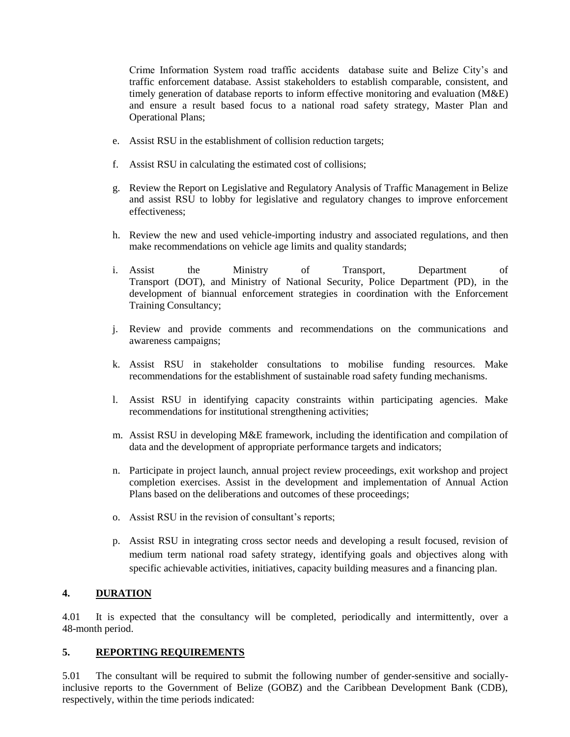Crime Information System road traffic accidents database suite and Belize City's and traffic enforcement database. Assist stakeholders to establish comparable, consistent, and timely generation of database reports to inform effective monitoring and evaluation (M&E) and ensure a result based focus to a national road safety strategy, Master Plan and Operational Plans;

- e. Assist RSU in the establishment of collision reduction targets;
- f. Assist RSU in calculating the estimated cost of collisions;
- g. Review the Report on Legislative and Regulatory Analysis of Traffic Management in Belize and assist RSU to lobby for legislative and regulatory changes to improve enforcement effectiveness;
- h. Review the new and used vehicle-importing industry and associated regulations, and then make recommendations on vehicle age limits and quality standards;
- i. Assist the Ministry of Transport, Department of Transport (DOT), and Ministry of National Security, Police Department (PD), in the development of biannual enforcement strategies in coordination with the Enforcement Training Consultancy;
- j. Review and provide comments and recommendations on the communications and awareness campaigns;
- k. Assist RSU in stakeholder consultations to mobilise funding resources. Make recommendations for the establishment of sustainable road safety funding mechanisms.
- l. Assist RSU in identifying capacity constraints within participating agencies. Make recommendations for institutional strengthening activities;
- m. Assist RSU in developing M&E framework, including the identification and compilation of data and the development of appropriate performance targets and indicators;
- n. Participate in project launch, annual project review proceedings, exit workshop and project completion exercises. Assist in the development and implementation of Annual Action Plans based on the deliberations and outcomes of these proceedings;
- o. Assist RSU in the revision of consultant's reports;
- p. Assist RSU in integrating cross sector needs and developing a result focused, revision of medium term national road safety strategy, identifying goals and objectives along with specific achievable activities, initiatives, capacity building measures and a financing plan.

### **4. DURATION**

4.01 It is expected that the consultancy will be completed, periodically and intermittently, over a 48-month period.

### **5. REPORTING REQUIREMENTS**

5.01 The consultant will be required to submit the following number of gender-sensitive and sociallyinclusive reports to the Government of Belize (GOBZ) and the Caribbean Development Bank (CDB), respectively, within the time periods indicated: